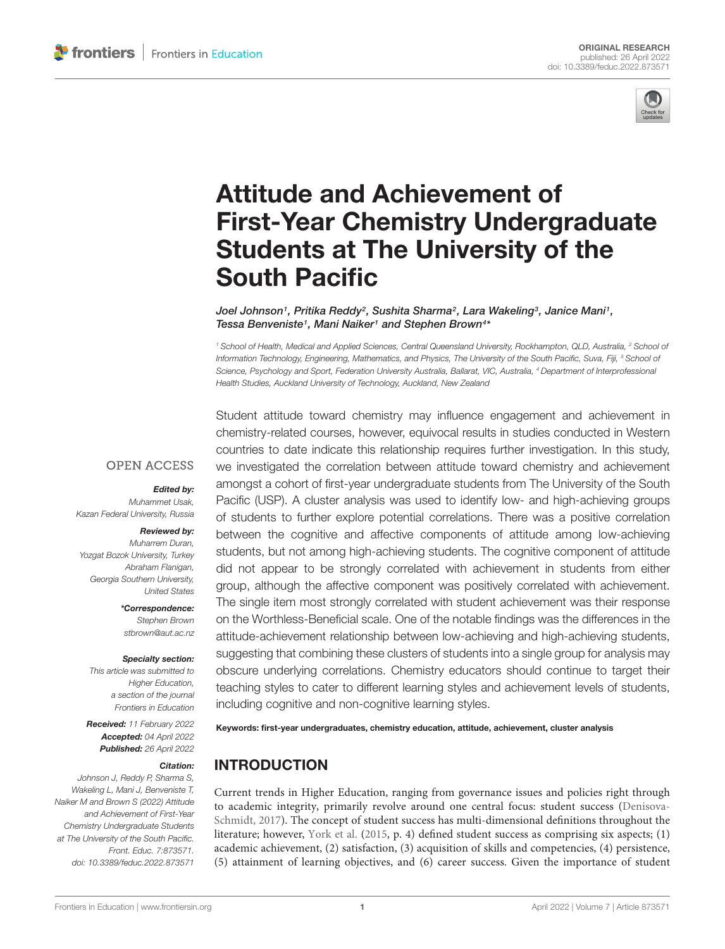

# Attitude and Achievement of [First-Year Chemistry Undergraduate](https://www.frontiersin.org/articles/10.3389/feduc.2022.873571/full) Students at The University of the South Pacific

Joel Johnson1, Pritika Reddy<sup>2</sup>, Sushita Sharma<sup>2</sup>, Lara Wakeling<sup>3</sup>, Janice Mani1, Tessa Benveniste<sup>1</sup>, Mani Naiker<sup>1</sup> and Stephen Brown<sup>4\*</sup>

<sup>1</sup> School of Health, Medical and Applied Sciences, Central Queensland University, Rockhampton, QLD, Australia, <sup>2</sup> School of Information Technology, Engineering, Mathematics, and Physics, The University of the South Pacific, Suva, Fiji, <sup>3</sup> School of Science, Psychology and Sport, Federation University Australia, Ballarat, VIC, Australia, <sup>4</sup> Department of Interprofessional Health Studies, Auckland University of Technology, Auckland, New Zealand

**OPEN ACCESS** 

#### Edited by:

Muhammet Usak, Kazan Federal University, Russia

#### Reviewed by:

Muharrem Duran, Yozgat Bozok University, Turkey Abraham Flanigan, Georgia Southern University, United States

> \*Correspondence: Stephen Brown stbrown@aut.ac.nz

#### Specialty section:

This article was submitted to **Higher Education.** a section of the journal Frontiers in Education

Received: 11 February 2022 Accepted: 04 April 2022 Published: 26 April 2022

#### Citation:

Johnson J, Reddy P, Sharma S, Wakeling L, Mani J, Benveniste T, Naiker M and Brown S (2022) Attitude and Achievement of First-Year Chemistry Undergraduate Students at The University of the South Pacific. Front. Educ. 7:873571. doi: [10.3389/feduc.2022.873571](https://doi.org/10.3389/feduc.2022.873571)

Student attitude toward chemistry may influence engagement and achievement in chemistry-related courses, however, equivocal results in studies conducted in Western countries to date indicate this relationship requires further investigation. In this study, we investigated the correlation between attitude toward chemistry and achievement amongst a cohort of first-year undergraduate students from The University of the South Pacific (USP). A cluster analysis was used to identify low- and high-achieving groups of students to further explore potential correlations. There was a positive correlation between the cognitive and affective components of attitude among low-achieving students, but not among high-achieving students. The cognitive component of attitude did not appear to be strongly correlated with achievement in students from either group, although the affective component was positively correlated with achievement. The single item most strongly correlated with student achievement was their response on the Worthless-Beneficial scale. One of the notable findings was the differences in the attitude-achievement relationship between low-achieving and high-achieving students, suggesting that combining these clusters of students into a single group for analysis may obscure underlying correlations. Chemistry educators should continue to target their teaching styles to cater to different learning styles and achievement levels of students, including cognitive and non-cognitive learning styles.

Keywords: first-year undergraduates, chemistry education, attitude, achievement, cluster analysis

# INTRODUCTION

Current trends in Higher Education, ranging from governance issues and policies right through to academic integrity, primarily revolve around one central focus: student success [\(Denisova-](#page-7-0)[Schmidt,](#page-7-0) [2017\)](#page-7-0). The concept of student success has multi-dimensional definitions throughout the literature; however, [York et al.](#page-9-0) [\(2015,](#page-9-0) p. 4) defined student success as comprising six aspects; (1) academic achievement, (2) satisfaction, (3) acquisition of skills and competencies, (4) persistence, (5) attainment of learning objectives, and (6) career success. Given the importance of student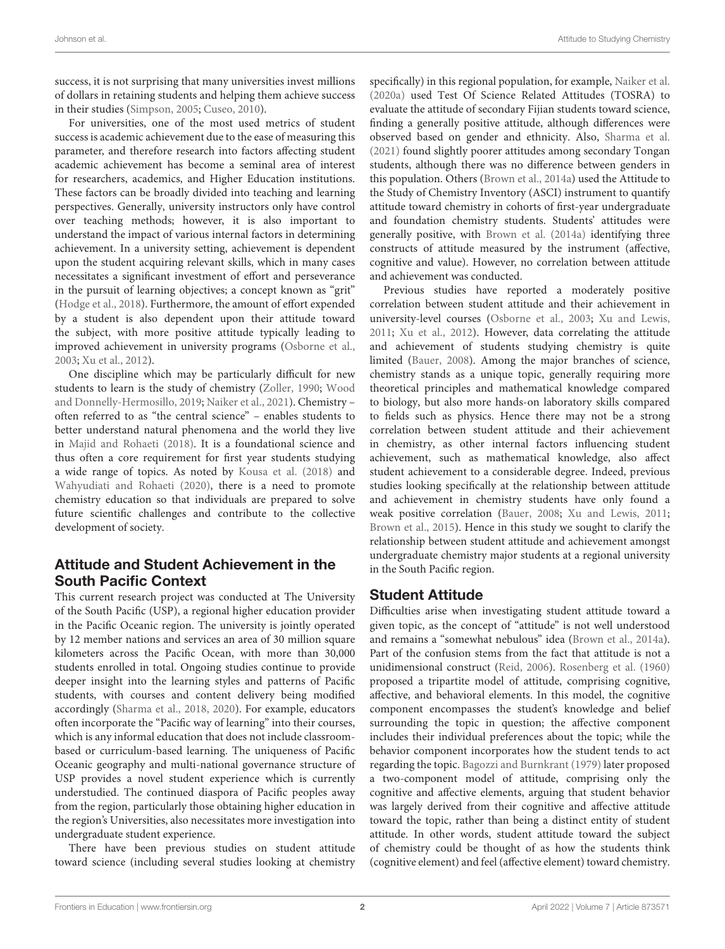success, it is not surprising that many universities invest millions of dollars in retaining students and helping them achieve success in their studies [\(Simpson,](#page-8-0) [2005;](#page-8-0) [Cuseo,](#page-7-1) [2010\)](#page-7-1).

For universities, one of the most used metrics of student success is academic achievement due to the ease of measuring this parameter, and therefore research into factors affecting student academic achievement has become a seminal area of interest for researchers, academics, and Higher Education institutions. These factors can be broadly divided into teaching and learning perspectives. Generally, university instructors only have control over teaching methods; however, it is also important to understand the impact of various internal factors in determining achievement. In a university setting, achievement is dependent upon the student acquiring relevant skills, which in many cases necessitates a significant investment of effort and perseverance in the pursuit of learning objectives; a concept known as "grit" [\(Hodge et al.,](#page-8-1) [2018\)](#page-8-1). Furthermore, the amount of effort expended by a student is also dependent upon their attitude toward the subject, with more positive attitude typically leading to improved achievement in university programs [\(Osborne et al.,](#page-8-2) [2003;](#page-8-2) [Xu et al.,](#page-9-1) [2012\)](#page-9-1).

One discipline which may be particularly difficult for new students to learn is the study of chemistry [\(Zoller,](#page-9-2) [1990;](#page-9-2) [Wood](#page-9-3) [and Donnelly-Hermosillo,](#page-9-3) [2019;](#page-9-3) [Naiker et al.,](#page-8-3) [2021\)](#page-8-3). Chemistry – often referred to as "the central science" – enables students to better understand natural phenomena and the world they live in [Majid and Rohaeti](#page-8-4) [\(2018\)](#page-8-4). It is a foundational science and thus often a core requirement for first year students studying a wide range of topics. As noted by [Kousa et al.](#page-8-5) [\(2018\)](#page-8-5) and [Wahyudiati and Rohaeti](#page-9-4) [\(2020\)](#page-9-4), there is a need to promote chemistry education so that individuals are prepared to solve future scientific challenges and contribute to the collective development of society.

# Attitude and Student Achievement in the South Pacific Context

This current research project was conducted at The University of the South Pacific (USP), a regional higher education provider in the Pacific Oceanic region. The university is jointly operated by 12 member nations and services an area of 30 million square kilometers across the Pacific Ocean, with more than 30,000 students enrolled in total. Ongoing studies continue to provide deeper insight into the learning styles and patterns of Pacific students, with courses and content delivery being modified accordingly [\(Sharma et al.,](#page-8-6) [2018,](#page-8-6) [2020\)](#page-8-7). For example, educators often incorporate the "Pacific way of learning" into their courses, which is any informal education that does not include classroombased or curriculum-based learning. The uniqueness of Pacific Oceanic geography and multi-national governance structure of USP provides a novel student experience which is currently understudied. The continued diaspora of Pacific peoples away from the region, particularly those obtaining higher education in the region's Universities, also necessitates more investigation into undergraduate student experience.

There have been previous studies on student attitude toward science (including several studies looking at chemistry specifically) in this regional population, for example, [Naiker et al.](#page-8-8) [\(2020a\)](#page-8-8) used Test Of Science Related Attitudes (TOSRA) to evaluate the attitude of secondary Fijian students toward science, finding a generally positive attitude, although differences were observed based on gender and ethnicity. Also, [Sharma et al.](#page-8-9) [\(2021\)](#page-8-9) found slightly poorer attitudes among secondary Tongan students, although there was no difference between genders in this population. Others [\(Brown et al.,](#page-7-2) [2014a\)](#page-7-2) used the Attitude to the Study of Chemistry Inventory (ASCI) instrument to quantify attitude toward chemistry in cohorts of first-year undergraduate and foundation chemistry students. Students' attitudes were generally positive, with [Brown et al.](#page-7-2) [\(2014a\)](#page-7-2) identifying three constructs of attitude measured by the instrument (affective, cognitive and value). However, no correlation between attitude and achievement was conducted.

Previous studies have reported a moderately positive correlation between student attitude and their achievement in university-level courses [\(Osborne et al.,](#page-8-2) [2003;](#page-8-2) [Xu and Lewis,](#page-9-5) [2011;](#page-9-5) [Xu et al.,](#page-9-1) [2012\)](#page-9-1). However, data correlating the attitude and achievement of students studying chemistry is quite limited [\(Bauer,](#page-7-3) [2008\)](#page-7-3). Among the major branches of science, chemistry stands as a unique topic, generally requiring more theoretical principles and mathematical knowledge compared to biology, but also more hands-on laboratory skills compared to fields such as physics. Hence there may not be a strong correlation between student attitude and their achievement in chemistry, as other internal factors influencing student achievement, such as mathematical knowledge, also affect student achievement to a considerable degree. Indeed, previous studies looking specifically at the relationship between attitude and achievement in chemistry students have only found a weak positive correlation [\(Bauer,](#page-7-3) [2008;](#page-7-3) [Xu and Lewis,](#page-9-5) [2011;](#page-9-5) [Brown et al.,](#page-7-4) [2015\)](#page-7-4). Hence in this study we sought to clarify the relationship between student attitude and achievement amongst undergraduate chemistry major students at a regional university in the South Pacific region.

## Student Attitude

Difficulties arise when investigating student attitude toward a given topic, as the concept of "attitude" is not well understood and remains a "somewhat nebulous" idea [\(Brown et al.,](#page-7-2) [2014a\)](#page-7-2). Part of the confusion stems from the fact that attitude is not a unidimensional construct [\(Reid,](#page-8-10) [2006\)](#page-8-10). [Rosenberg et al.](#page-8-11) [\(1960\)](#page-8-11) proposed a tripartite model of attitude, comprising cognitive, affective, and behavioral elements. In this model, the cognitive component encompasses the student's knowledge and belief surrounding the topic in question; the affective component includes their individual preferences about the topic; while the behavior component incorporates how the student tends to act regarding the topic. [Bagozzi and Burnkrant](#page-7-5) [\(1979\)](#page-7-5) later proposed a two-component model of attitude, comprising only the cognitive and affective elements, arguing that student behavior was largely derived from their cognitive and affective attitude toward the topic, rather than being a distinct entity of student attitude. In other words, student attitude toward the subject of chemistry could be thought of as how the students think (cognitive element) and feel (affective element) toward chemistry.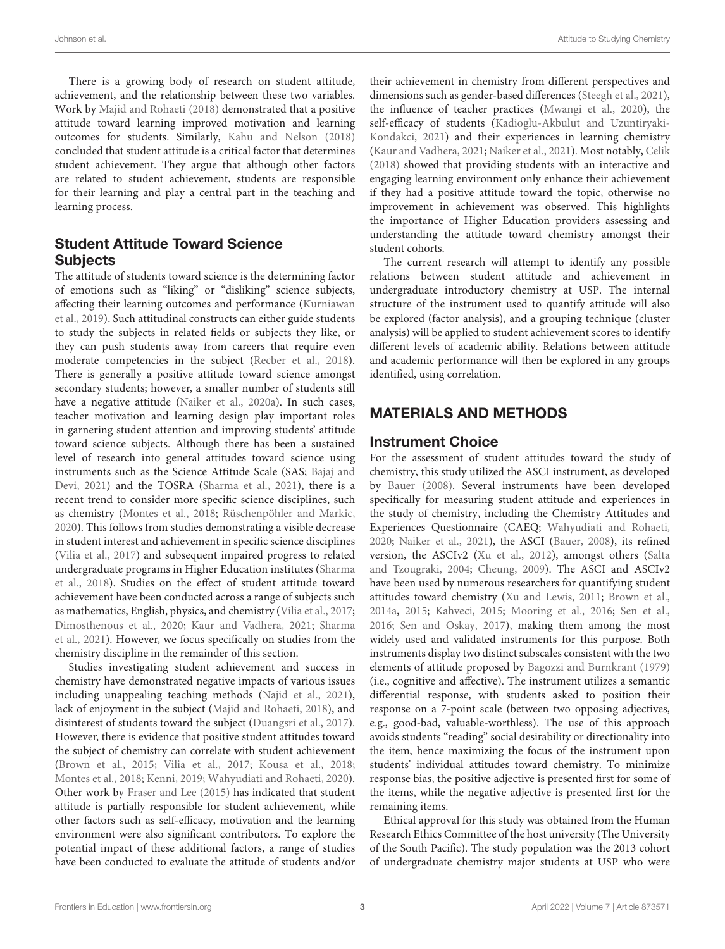There is a growing body of research on student attitude, achievement, and the relationship between these two variables. Work by [Majid and Rohaeti](#page-8-4) [\(2018\)](#page-8-4) demonstrated that a positive attitude toward learning improved motivation and learning outcomes for students. Similarly, [Kahu and Nelson](#page-8-12) [\(2018\)](#page-8-12) concluded that student attitude is a critical factor that determines student achievement. They argue that although other factors are related to student achievement, students are responsible for their learning and play a central part in the teaching and learning process.

# Student Attitude Toward Science **Subjects**

The attitude of students toward science is the determining factor of emotions such as "liking" or "disliking" science subjects, affecting their learning outcomes and performance [\(Kurniawan](#page-8-13) [et al.,](#page-8-13) [2019\)](#page-8-13). Such attitudinal constructs can either guide students to study the subjects in related fields or subjects they like, or they can push students away from careers that require even moderate competencies in the subject [\(Recber et al.,](#page-8-14) [2018\)](#page-8-14). There is generally a positive attitude toward science amongst secondary students; however, a smaller number of students still have a negative attitude [\(Naiker et al.,](#page-8-8) [2020a\)](#page-8-8). In such cases, teacher motivation and learning design play important roles in garnering student attention and improving students' attitude toward science subjects. Although there has been a sustained level of research into general attitudes toward science using instruments such as the Science Attitude Scale (SAS; [Bajaj and](#page-7-6) [Devi,](#page-7-6) [2021\)](#page-7-6) and the TOSRA [\(Sharma et al.,](#page-8-9) [2021\)](#page-8-9), there is a recent trend to consider more specific science disciplines, such as chemistry [\(Montes et al.,](#page-8-15) [2018;](#page-8-15) [Rüschenpöhler and Markic,](#page-8-16) [2020\)](#page-8-16). This follows from studies demonstrating a visible decrease in student interest and achievement in specific science disciplines [\(Vilia et al.,](#page-8-17) [2017\)](#page-8-17) and subsequent impaired progress to related undergraduate programs in Higher Education institutes [\(Sharma](#page-8-6) [et al.,](#page-8-6) [2018\)](#page-8-6). Studies on the effect of student attitude toward achievement have been conducted across a range of subjects such as mathematics, English, physics, and chemistry [\(Vilia et al.,](#page-8-17) [2017;](#page-8-17) [Dimosthenous et al.,](#page-7-7) [2020;](#page-7-7) [Kaur and Vadhera,](#page-8-18) [2021;](#page-8-18) [Sharma](#page-8-9) [et al.,](#page-8-9) [2021\)](#page-8-9). However, we focus specifically on studies from the chemistry discipline in the remainder of this section.

Studies investigating student achievement and success in chemistry have demonstrated negative impacts of various issues including unappealing teaching methods [\(Najid et al.,](#page-8-19) [2021\)](#page-8-19), lack of enjoyment in the subject [\(Majid and Rohaeti,](#page-8-4) [2018\)](#page-8-4), and disinterest of students toward the subject [\(Duangsri et al.,](#page-8-20) [2017\)](#page-8-20). However, there is evidence that positive student attitudes toward the subject of chemistry can correlate with student achievement [\(Brown et al.,](#page-7-4) [2015;](#page-7-4) [Vilia et al.,](#page-8-17) [2017;](#page-8-17) [Kousa et al.,](#page-8-5) [2018;](#page-8-5) [Montes et al.,](#page-8-15) [2018;](#page-8-15) [Kenni,](#page-8-21) [2019;](#page-8-21) [Wahyudiati and Rohaeti,](#page-9-4) [2020\)](#page-9-4). Other work by [Fraser and Lee](#page-8-22) [\(2015\)](#page-8-22) has indicated that student attitude is partially responsible for student achievement, while other factors such as self-efficacy, motivation and the learning environment were also significant contributors. To explore the potential impact of these additional factors, a range of studies have been conducted to evaluate the attitude of students and/or

their achievement in chemistry from different perspectives and dimensions such as gender-based differences [\(Steegh et al.,](#page-8-23) [2021\)](#page-8-23), the influence of teacher practices [\(Mwangi et al.,](#page-8-24) [2020\)](#page-8-24), the self-efficacy of students [\(Kadioglu-Akbulut and Uzuntiryaki-](#page-8-25)[Kondakci,](#page-8-25) [2021\)](#page-8-25) and their experiences in learning chemistry [\(Kaur and Vadhera,](#page-8-18) [2021;](#page-8-18) [Naiker et al.,](#page-8-3) [2021\)](#page-8-3). Most notably, [Celik](#page-7-8) [\(2018\)](#page-7-8) showed that providing students with an interactive and engaging learning environment only enhance their achievement if they had a positive attitude toward the topic, otherwise no improvement in achievement was observed. This highlights the importance of Higher Education providers assessing and understanding the attitude toward chemistry amongst their student cohorts.

The current research will attempt to identify any possible relations between student attitude and achievement in undergraduate introductory chemistry at USP. The internal structure of the instrument used to quantify attitude will also be explored (factor analysis), and a grouping technique (cluster analysis) will be applied to student achievement scores to identify different levels of academic ability. Relations between attitude and academic performance will then be explored in any groups identified, using correlation.

# MATERIALS AND METHODS

# Instrument Choice

For the assessment of student attitudes toward the study of chemistry, this study utilized the ASCI instrument, as developed by [Bauer](#page-7-3) [\(2008\)](#page-7-3). Several instruments have been developed specifically for measuring student attitude and experiences in the study of chemistry, including the Chemistry Attitudes and Experiences Questionnaire (CAEQ; [Wahyudiati and Rohaeti,](#page-9-4) [2020;](#page-9-4) [Naiker et al.,](#page-8-3) [2021\)](#page-8-3), the ASCI [\(Bauer,](#page-7-3) [2008\)](#page-7-3), its refined version, the ASCIv2 [\(Xu et al.,](#page-9-1) [2012\)](#page-9-1), amongst others [\(Salta](#page-8-26) [and Tzougraki,](#page-8-26) [2004;](#page-8-26) [Cheung,](#page-7-9) [2009\)](#page-7-9). The ASCI and ASCIv2 have been used by numerous researchers for quantifying student attitudes toward chemistry [\(Xu and Lewis,](#page-9-5) [2011;](#page-9-5) [Brown et al.,](#page-7-2) [2014a,](#page-7-2) [2015;](#page-7-4) [Kahveci,](#page-8-27) [2015;](#page-8-27) [Mooring et al.,](#page-8-28) [2016;](#page-8-28) [Sen et al.,](#page-8-29) [2016;](#page-8-29) [Sen and Oskay,](#page-8-30) [2017\)](#page-8-30), making them among the most widely used and validated instruments for this purpose. Both instruments display two distinct subscales consistent with the two elements of attitude proposed by [Bagozzi and Burnkrant](#page-7-5) [\(1979\)](#page-7-5) (i.e., cognitive and affective). The instrument utilizes a semantic differential response, with students asked to position their response on a 7-point scale (between two opposing adjectives, e.g., good-bad, valuable-worthless). The use of this approach avoids students "reading" social desirability or directionality into the item, hence maximizing the focus of the instrument upon students' individual attitudes toward chemistry. To minimize response bias, the positive adjective is presented first for some of the items, while the negative adjective is presented first for the remaining items.

Ethical approval for this study was obtained from the Human Research Ethics Committee of the host university (The University of the South Pacific). The study population was the 2013 cohort of undergraduate chemistry major students at USP who were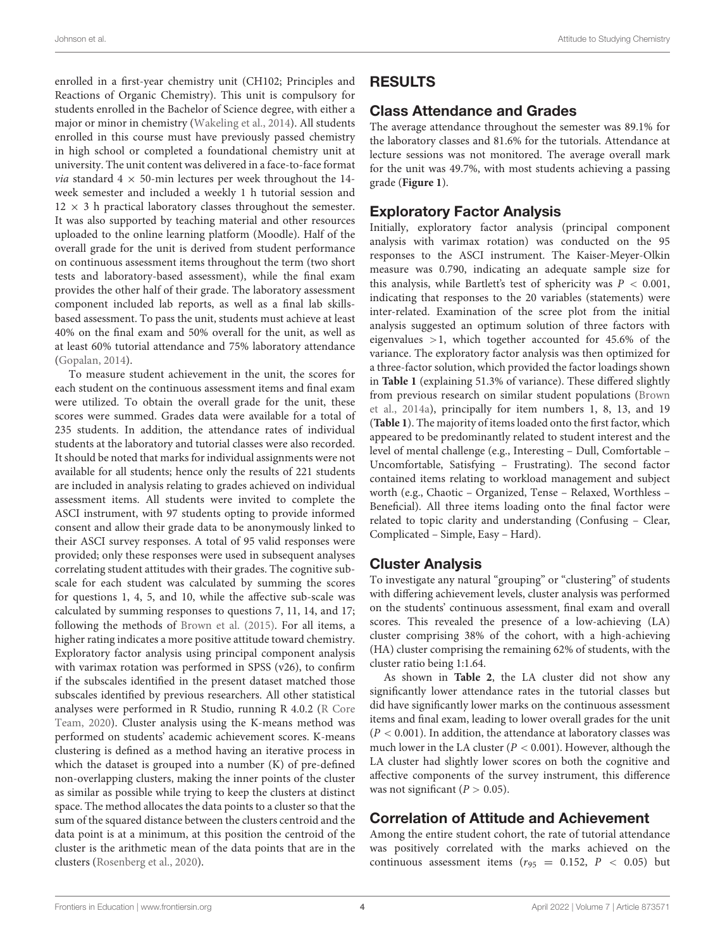enrolled in a first-year chemistry unit (CH102; Principles and Reactions of Organic Chemistry). This unit is compulsory for students enrolled in the Bachelor of Science degree, with either a major or minor in chemistry [\(Wakeling et al.,](#page-9-6) [2014\)](#page-9-6). All students enrolled in this course must have previously passed chemistry in high school or completed a foundational chemistry unit at university. The unit content was delivered in a face-to-face format *via* standard  $4 \times 50$ -min lectures per week throughout the 14week semester and included a weekly 1 h tutorial session and  $12 \times 3$  h practical laboratory classes throughout the semester. It was also supported by teaching material and other resources uploaded to the online learning platform (Moodle). Half of the overall grade for the unit is derived from student performance on continuous assessment items throughout the term (two short tests and laboratory-based assessment), while the final exam provides the other half of their grade. The laboratory assessment component included lab reports, as well as a final lab skillsbased assessment. To pass the unit, students must achieve at least 40% on the final exam and 50% overall for the unit, as well as at least 60% tutorial attendance and 75% laboratory attendance [\(Gopalan,](#page-8-31) [2014\)](#page-8-31).

To measure student achievement in the unit, the scores for each student on the continuous assessment items and final exam were utilized. To obtain the overall grade for the unit, these scores were summed. Grades data were available for a total of 235 students. In addition, the attendance rates of individual students at the laboratory and tutorial classes were also recorded. It should be noted that marks for individual assignments were not available for all students; hence only the results of 221 students are included in analysis relating to grades achieved on individual assessment items. All students were invited to complete the ASCI instrument, with 97 students opting to provide informed consent and allow their grade data to be anonymously linked to their ASCI survey responses. A total of 95 valid responses were provided; only these responses were used in subsequent analyses correlating student attitudes with their grades. The cognitive subscale for each student was calculated by summing the scores for questions 1, 4, 5, and 10, while the affective sub-scale was calculated by summing responses to questions 7, 11, 14, and 17; following the methods of [Brown et al.](#page-7-4) [\(2015\)](#page-7-4). For all items, a higher rating indicates a more positive attitude toward chemistry. Exploratory factor analysis using principal component analysis with varimax rotation was performed in SPSS (v26), to confirm if the subscales identified in the present dataset matched those subscales identified by previous researchers. All other statistical analyses were performed in R Studio, running R 4.0.2 [\(R Core](#page-8-32) [Team,](#page-8-32) [2020\)](#page-8-32). Cluster analysis using the K-means method was performed on students' academic achievement scores. K-means clustering is defined as a method having an iterative process in which the dataset is grouped into a number (K) of pre-defined non-overlapping clusters, making the inner points of the cluster as similar as possible while trying to keep the clusters at distinct space. The method allocates the data points to a cluster so that the sum of the squared distance between the clusters centroid and the data point is at a minimum, at this position the centroid of the cluster is the arithmetic mean of the data points that are in the clusters [\(Rosenberg et al.,](#page-8-33) [2020\)](#page-8-33).

# RESULTS

# Class Attendance and Grades

The average attendance throughout the semester was 89.1% for the laboratory classes and 81.6% for the tutorials. Attendance at lecture sessions was not monitored. The average overall mark for the unit was 49.7%, with most students achieving a passing grade (**[Figure 1](#page-4-0)**).

# Exploratory Factor Analysis

Initially, exploratory factor analysis (principal component analysis with varimax rotation) was conducted on the 95 responses to the ASCI instrument. The Kaiser-Meyer-Olkin measure was 0.790, indicating an adequate sample size for this analysis, while Bartlett's test of sphericity was  $P < 0.001$ , indicating that responses to the 20 variables (statements) were inter-related. Examination of the scree plot from the initial analysis suggested an optimum solution of three factors with eigenvalues  $>1$ , which together accounted for 45.6% of the variance. The exploratory factor analysis was then optimized for a three-factor solution, which provided the factor loadings shown in **[Table 1](#page-4-1)** (explaining 51.3% of variance). These differed slightly from previous research on similar student populations [\(Brown](#page-7-2) [et al.,](#page-7-2) [2014a\)](#page-7-2), principally for item numbers 1, 8, 13, and 19 (**[Table 1](#page-4-1)**). The majority of items loaded onto the first factor, which appeared to be predominantly related to student interest and the level of mental challenge (e.g., Interesting – Dull, Comfortable – Uncomfortable, Satisfying – Frustrating). The second factor contained items relating to workload management and subject worth (e.g., Chaotic – Organized, Tense – Relaxed, Worthless – Beneficial). All three items loading onto the final factor were related to topic clarity and understanding (Confusing – Clear, Complicated – Simple, Easy – Hard).

# Cluster Analysis

To investigate any natural "grouping" or "clustering" of students with differing achievement levels, cluster analysis was performed on the students' continuous assessment, final exam and overall scores. This revealed the presence of a low-achieving (LA) cluster comprising 38% of the cohort, with a high-achieving (HA) cluster comprising the remaining 62% of students, with the cluster ratio being 1:1.64.

As shown in **[Table 2](#page-5-0)**, the LA cluster did not show any significantly lower attendance rates in the tutorial classes but did have significantly lower marks on the continuous assessment items and final exam, leading to lower overall grades for the unit  $(P < 0.001)$ . In addition, the attendance at laboratory classes was much lower in the LA cluster ( $P < 0.001$ ). However, although the LA cluster had slightly lower scores on both the cognitive and affective components of the survey instrument, this difference was not significant ( $P > 0.05$ ).

# Correlation of Attitude and Achievement

Among the entire student cohort, the rate of tutorial attendance was positively correlated with the marks achieved on the continuous assessment items ( $r_{95}$  = 0.152, P < 0.05) but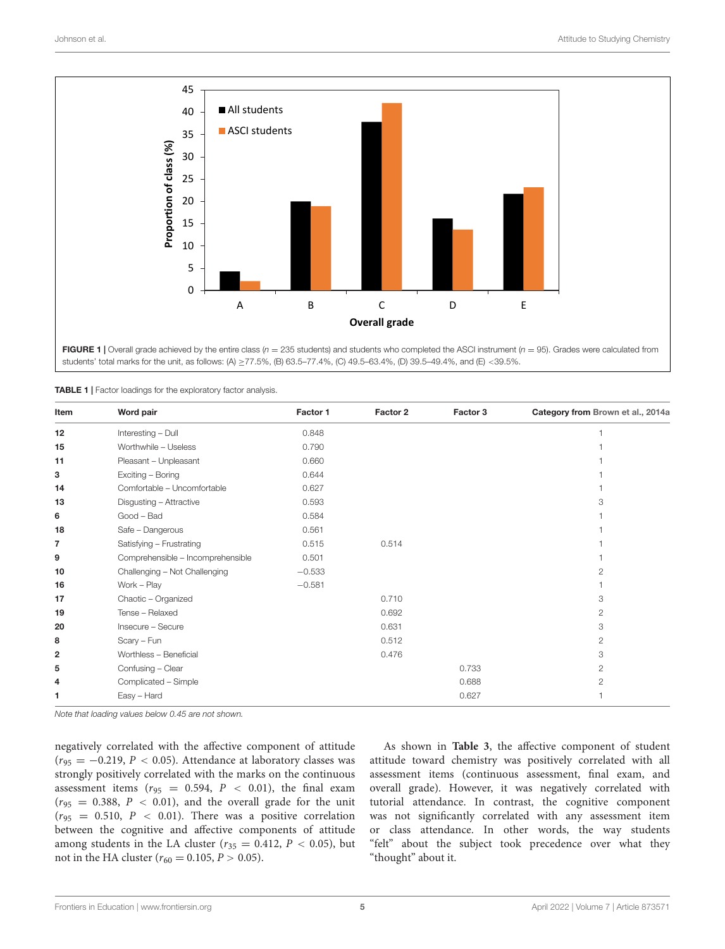

<span id="page-4-0"></span>FIGURE 1 | Overall grade achieved by the entire class ( $n = 235$  students) and students who completed the ASCI instrument ( $n = 95$ ). Grades were calculated from students' total marks for the unit, as follows: (A) ≥77.5%, (B) 63.5–77.4%, (C) 49.5–63.4%, (D) 39.5–49.4%, and (E) <39.5%.

<span id="page-4-1"></span>

| TABLE 1   Factor loadings for the exploratory factor analysis. |  |  |
|----------------------------------------------------------------|--|--|
|                                                                |  |  |

| Item                    | Word pair                         | Factor 1 | Factor 2 | Factor 3 | Category from Brown et al., 2014a |
|-------------------------|-----------------------------------|----------|----------|----------|-----------------------------------|
| 12                      | Interesting - Dull                | 0.848    |          |          |                                   |
| 15                      | Worthwhile - Useless              | 0.790    |          |          |                                   |
| 11                      | Pleasant - Unpleasant             | 0.660    |          |          |                                   |
| з                       | Exciting - Boring                 | 0.644    |          |          |                                   |
| 14                      | Comfortable - Uncomfortable       | 0.627    |          |          |                                   |
| 13                      | Disgusting - Attractive           | 0.593    |          |          | 3                                 |
| 6                       | Good - Bad                        | 0.584    |          |          |                                   |
| 18                      | Safe - Dangerous                  | 0.561    |          |          |                                   |
| 7                       | Satisfying - Frustrating          | 0.515    | 0.514    |          |                                   |
| 9                       | Comprehensible - Incomprehensible | 0.501    |          |          |                                   |
| 10                      | Challenging - Not Challenging     | $-0.533$ |          |          | 2                                 |
| 16                      | Work - Play                       | $-0.581$ |          |          |                                   |
| 17                      | Chaotic - Organized               |          | 0.710    |          | 3                                 |
| 19                      | Tense - Relaxed                   |          | 0.692    |          | 2                                 |
| 20                      | Insecure - Secure                 |          | 0.631    |          | 3                                 |
| 8                       | Scary - Fun                       |          | 0.512    |          | $\overline{2}$                    |
| $\overline{\mathbf{2}}$ | Worthless - Beneficial            |          | 0.476    |          | 3                                 |
| 5                       | Confusing - Clear                 |          |          | 0.733    | 2                                 |
| 4                       | Complicated - Simple              |          |          | 0.688    | $\overline{2}$                    |
| 1                       | Easy - Hard                       |          |          | 0.627    |                                   |

Note that loading values below 0.45 are not shown.

negatively correlated with the affective component of attitude  $(r_{95} = -0.219, P < 0.05)$ . Attendance at laboratory classes was strongly positively correlated with the marks on the continuous assessment items ( $r_{95}$  = 0.594,  $P$  < 0.01), the final exam  $(r_{95} = 0.388, P < 0.01)$ , and the overall grade for the unit  $(r_{95} = 0.510, P < 0.01)$ . There was a positive correlation between the cognitive and affective components of attitude among students in the LA cluster ( $r_{35} = 0.412$ ,  $P < 0.05$ ), but not in the HA cluster ( $r_{60} = 0.105$ ,  $P > 0.05$ ).

As shown in **[Table 3](#page-5-1)**, the affective component of student attitude toward chemistry was positively correlated with all assessment items (continuous assessment, final exam, and overall grade). However, it was negatively correlated with tutorial attendance. In contrast, the cognitive component was not significantly correlated with any assessment item or class attendance. In other words, the way students "felt" about the subject took precedence over what they "thought" about it.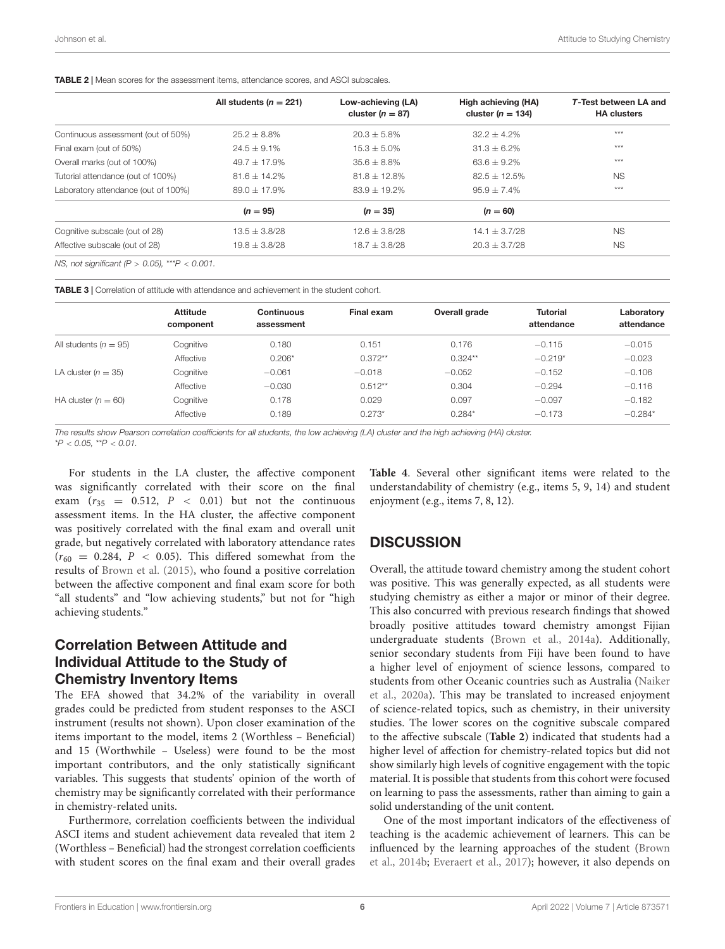<span id="page-5-0"></span>TABLE 2 | Mean scores for the assessment items, attendance scores, and ASCI subscales.

| All students ( $n = 221$ ) | Low-achieving (LA)<br>cluster ( $n = 87$ ) | High achieving (HA)<br>cluster ( $n = 134$ ) | <b>T-Test between LA and</b><br><b>HA clusters</b> |
|----------------------------|--------------------------------------------|----------------------------------------------|----------------------------------------------------|
| $25.2 + 8.8\%$             | $20.3 + 5.8\%$                             | $32.2 + 4.2\%$                               | ***                                                |
| $24.5 + 9.1\%$             | $15.3 + 5.0\%$                             | $31.3 + 6.2\%$                               | ***                                                |
| $49.7 + 17.9\%$            | $35.6 + 8.8\%$                             | $63.6 + 9.2\%$                               | ***                                                |
| $81.6 + 14.2\%$            | $81.8 \pm 12.8\%$                          | $82.5 + 12.5\%$                              | <b>NS</b>                                          |
| $89.0 + 17.9%$             | $83.9 + 19.2\%$                            | $95.9 + 7.4\%$                               | ***                                                |
| $(n = 95)$                 | $(n = 35)$                                 | $(n = 60)$                                   |                                                    |
| $13.5 + 3.8/28$            | $12.6 + 3.8/28$                            | $14.1 + 3.7/28$                              | <b>NS</b>                                          |
| $19.8 \pm 3.8/28$          | $18.7 + 3.8/28$                            | $20.3 + 3.7/28$                              | <b>NS</b>                                          |
|                            |                                            |                                              |                                                    |

NS, not significant (P > 0.05), \*\*\*  $P < 0.001$ .

<span id="page-5-1"></span>TABLE 3 | Correlation of attitude with attendance and achievement in the student cohort.

|                           | <b>Attitude</b> | Continuous | Final exam | Overall grade | <b>Tutorial</b> | Laboratory |
|---------------------------|-----------------|------------|------------|---------------|-----------------|------------|
|                           | component       | assessment |            |               | attendance      | attendance |
| All students ( $n = 95$ ) | Cognitive       | 0.180      | 0.151      | 0.176         | $-0.115$        | $-0.015$   |
|                           | Affective       | $0.206*$   | $0.372**$  | $0.324**$     | $-0.219*$       | $-0.023$   |
| LA cluster $(n = 35)$     | Cognitive       | $-0.061$   | $-0.018$   | $-0.052$      | $-0.152$        | $-0.106$   |
|                           | Affective       | $-0.030$   | $0.512**$  | 0.304         | $-0.294$        | $-0.116$   |
| HA cluster $(n = 60)$     | Cognitive       | 0.178      | 0.029      | 0.097         | $-0.097$        | $-0.182$   |
|                           | Affective       | 0.189      | $0.273*$   | $0.284*$      | $-0.173$        | $-0.284*$  |

The results show Pearson correlation coefficients for all students, the low achieving (LA) cluster and the high achieving (HA) cluster.

 $*P < 0.05$  \*\*P  $< 0.01$ 

For students in the LA cluster, the affective component was significantly correlated with their score on the final exam  $(r_{35} = 0.512, P < 0.01)$  but not the continuous assessment items. In the HA cluster, the affective component was positively correlated with the final exam and overall unit grade, but negatively correlated with laboratory attendance rates  $(r_{60} = 0.284, P < 0.05)$ . This differed somewhat from the results of [Brown et al.](#page-7-4) [\(2015\)](#page-7-4), who found a positive correlation between the affective component and final exam score for both "all students" and "low achieving students," but not for "high achieving students."

# Correlation Between Attitude and Individual Attitude to the Study of Chemistry Inventory Items

The EFA showed that 34.2% of the variability in overall grades could be predicted from student responses to the ASCI instrument (results not shown). Upon closer examination of the items important to the model, items 2 (Worthless – Beneficial) and 15 (Worthwhile – Useless) were found to be the most important contributors, and the only statistically significant variables. This suggests that students' opinion of the worth of chemistry may be significantly correlated with their performance in chemistry-related units.

Furthermore, correlation coefficients between the individual ASCI items and student achievement data revealed that item 2 (Worthless – Beneficial) had the strongest correlation coefficients with student scores on the final exam and their overall grades

**[Table 4](#page-6-0)**. Several other significant items were related to the understandability of chemistry (e.g., items 5, 9, 14) and student enjoyment (e.g., items 7, 8, 12).

# **DISCUSSION**

Overall, the attitude toward chemistry among the student cohort was positive. This was generally expected, as all students were studying chemistry as either a major or minor of their degree. This also concurred with previous research findings that showed broadly positive attitudes toward chemistry amongst Fijian undergraduate students [\(Brown et al.,](#page-7-2) [2014a\)](#page-7-2). Additionally, senior secondary students from Fiji have been found to have a higher level of enjoyment of science lessons, compared to students from other Oceanic countries such as Australia [\(Naiker](#page-8-8) [et al.,](#page-8-8) [2020a\)](#page-8-8). This may be translated to increased enjoyment of science-related topics, such as chemistry, in their university studies. The lower scores on the cognitive subscale compared to the affective subscale (**[Table 2](#page-5-0)**) indicated that students had a higher level of affection for chemistry-related topics but did not show similarly high levels of cognitive engagement with the topic material. It is possible that students from this cohort were focused on learning to pass the assessments, rather than aiming to gain a solid understanding of the unit content.

One of the most important indicators of the effectiveness of teaching is the academic achievement of learners. This can be influenced by the learning approaches of the student [\(Brown](#page-7-10) [et al.,](#page-7-10) [2014b;](#page-7-10) [Everaert et al.,](#page-8-34) [2017\)](#page-8-34); however, it also depends on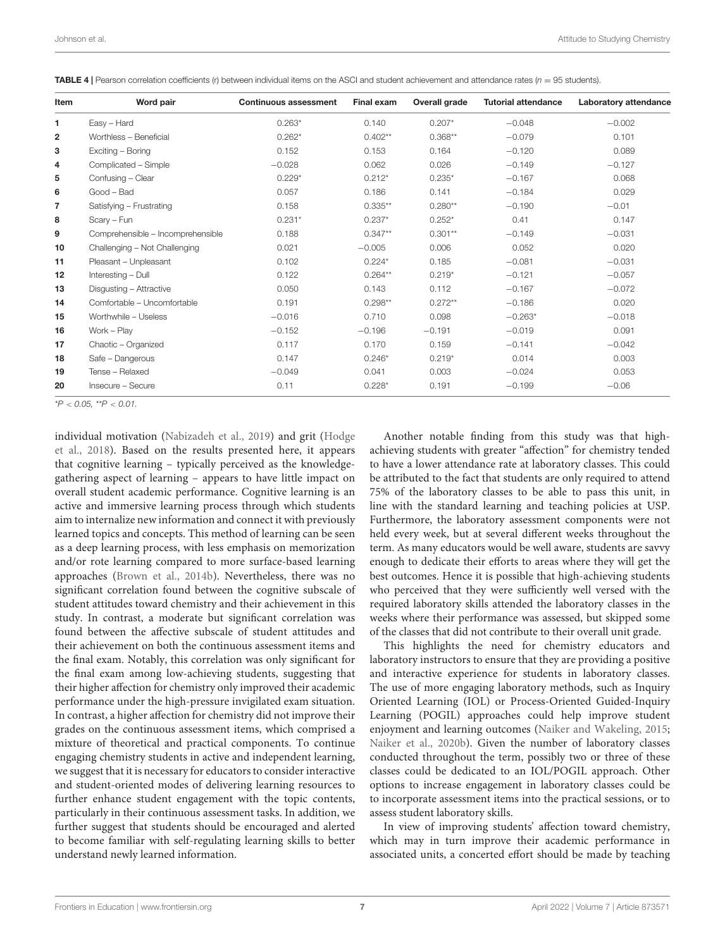| Item         | Word pair                         | <b>Continuous assessment</b> | Final exam | Overall grade | <b>Tutorial attendance</b> | Laboratory attendance |
|--------------|-----------------------------------|------------------------------|------------|---------------|----------------------------|-----------------------|
| 1            | Easy - Hard                       | $0.263*$                     | 0.140      | $0.207*$      | $-0.048$                   | $-0.002$              |
| $\mathbf{2}$ | Worthless - Beneficial            | $0.262*$                     | $0.402**$  | $0.368**$     | $-0.079$                   | 0.101                 |
| 3            | Exciting - Boring                 | 0.152                        | 0.153      | 0.164         | $-0.120$                   | 0.089                 |
| 4            | Complicated - Simple              | $-0.028$                     | 0.062      | 0.026         | $-0.149$                   | $-0.127$              |
| 5            | Confusing - Clear                 | $0.229*$                     | $0.212*$   | $0.235*$      | $-0.167$                   | 0.068                 |
| 6            | Good - Bad                        | 0.057                        | 0.186      | 0.141         | $-0.184$                   | 0.029                 |
| 7            | Satisfying - Frustrating          | 0.158                        | $0.335**$  | $0.280**$     | $-0.190$                   | $-0.01$               |
| 8            | Scarv - Fun                       | $0.231*$                     | $0.237*$   | $0.252*$      | 0.41                       | 0.147                 |
| 9            | Comprehensible - Incomprehensible | 0.188                        | $0.347**$  | $0.301**$     | $-0.149$                   | $-0.031$              |
| 10           | Challenging - Not Challenging     | 0.021                        | $-0.005$   | 0.006         | 0.052                      | 0.020                 |
| 11           | Pleasant - Unpleasant             | 0.102                        | $0.224*$   | 0.185         | $-0.081$                   | $-0.031$              |
| 12           | Interesting - Dull                | 0.122                        | $0.264**$  | $0.219*$      | $-0.121$                   | $-0.057$              |
| 13           | Disgusting - Attractive           | 0.050                        | 0.143      | 0.112         | $-0.167$                   | $-0.072$              |
| 14           | Comfortable - Uncomfortable       | 0.191                        | $0.298**$  | $0.272**$     | $-0.186$                   | 0.020                 |
| 15           | Worthwhile - Useless              | $-0.016$                     | 0.710      | 0.098         | $-0.263*$                  | $-0.018$              |
| 16           | Work - Play                       | $-0.152$                     | $-0.196$   | $-0.191$      | $-0.019$                   | 0.091                 |
| 17           | Chaotic - Organized               | 0.117                        | 0.170      | 0.159         | $-0.141$                   | $-0.042$              |
| 18           | Safe - Dangerous                  | 0.147                        | $0.246*$   | $0.219*$      | 0.014                      | 0.003                 |
| 19           | Tense - Relaxed                   | $-0.049$                     | 0.041      | 0.003         | $-0.024$                   | 0.053                 |
| 20           | Insecure - Secure                 | 0.11                         | $0.228*$   | 0.191         | $-0.199$                   | $-0.06$               |

<span id="page-6-0"></span>**TABLE 4** | Pearson correlation coefficients (r) between individual items on the ASCI and student achievement and attendance rates ( $n = 95$  students).

 $*P < 0.05$ ,  $*P < 0.01$ .

individual motivation [\(Nabizadeh et al.,](#page-8-35) [2019\)](#page-8-35) and grit [\(Hodge](#page-8-1) [et al.,](#page-8-1) [2018\)](#page-8-1). Based on the results presented here, it appears that cognitive learning – typically perceived as the knowledgegathering aspect of learning – appears to have little impact on overall student academic performance. Cognitive learning is an active and immersive learning process through which students aim to internalize new information and connect it with previously learned topics and concepts. This method of learning can be seen as a deep learning process, with less emphasis on memorization and/or rote learning compared to more surface-based learning approaches [\(Brown et al.,](#page-7-10) [2014b\)](#page-7-10). Nevertheless, there was no significant correlation found between the cognitive subscale of student attitudes toward chemistry and their achievement in this study. In contrast, a moderate but significant correlation was found between the affective subscale of student attitudes and their achievement on both the continuous assessment items and the final exam. Notably, this correlation was only significant for the final exam among low-achieving students, suggesting that their higher affection for chemistry only improved their academic performance under the high-pressure invigilated exam situation. In contrast, a higher affection for chemistry did not improve their grades on the continuous assessment items, which comprised a mixture of theoretical and practical components. To continue engaging chemistry students in active and independent learning, we suggest that it is necessary for educators to consider interactive and student-oriented modes of delivering learning resources to further enhance student engagement with the topic contents, particularly in their continuous assessment tasks. In addition, we further suggest that students should be encouraged and alerted to become familiar with self-regulating learning skills to better understand newly learned information.

Another notable finding from this study was that highachieving students with greater "affection" for chemistry tended to have a lower attendance rate at laboratory classes. This could be attributed to the fact that students are only required to attend 75% of the laboratory classes to be able to pass this unit, in line with the standard learning and teaching policies at USP. Furthermore, the laboratory assessment components were not held every week, but at several different weeks throughout the term. As many educators would be well aware, students are savvy enough to dedicate their efforts to areas where they will get the best outcomes. Hence it is possible that high-achieving students who perceived that they were sufficiently well versed with the required laboratory skills attended the laboratory classes in the weeks where their performance was assessed, but skipped some of the classes that did not contribute to their overall unit grade.

This highlights the need for chemistry educators and laboratory instructors to ensure that they are providing a positive and interactive experience for students in laboratory classes. The use of more engaging laboratory methods, such as Inquiry Oriented Learning (IOL) or Process-Oriented Guided-Inquiry Learning (POGIL) approaches could help improve student enjoyment and learning outcomes [\(Naiker and Wakeling,](#page-8-36) [2015;](#page-8-36) [Naiker et al.,](#page-8-37) [2020b\)](#page-8-37). Given the number of laboratory classes conducted throughout the term, possibly two or three of these classes could be dedicated to an IOL/POGIL approach. Other options to increase engagement in laboratory classes could be to incorporate assessment items into the practical sessions, or to assess student laboratory skills.

In view of improving students' affection toward chemistry, which may in turn improve their academic performance in associated units, a concerted effort should be made by teaching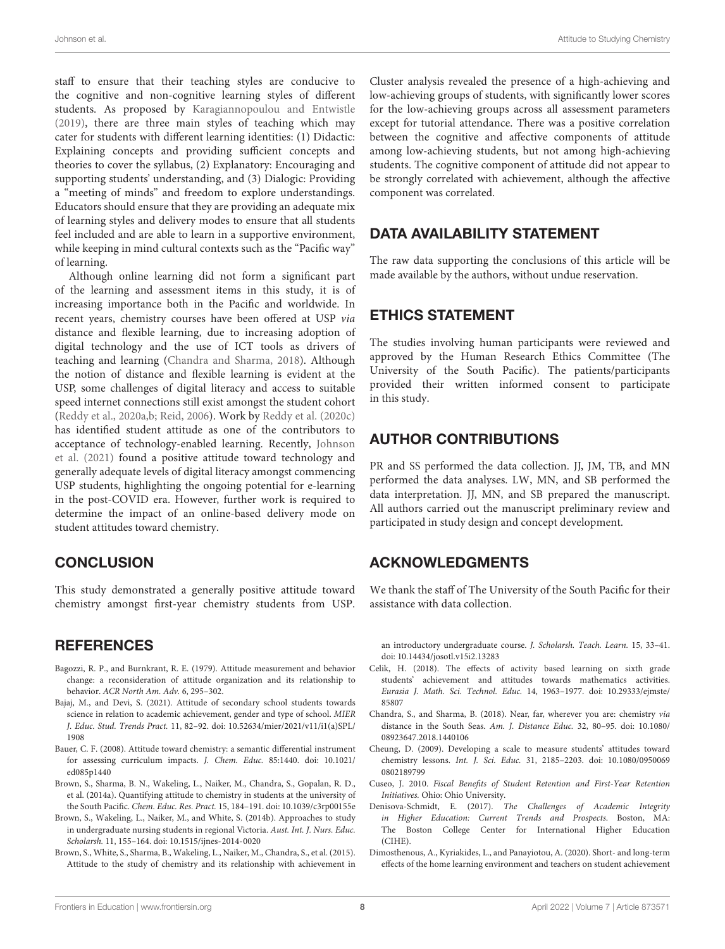staff to ensure that their teaching styles are conducive to the cognitive and non-cognitive learning styles of different students. As proposed by [Karagiannopoulou and Entwistle](#page-8-38) [\(2019\)](#page-8-38), there are three main styles of teaching which may cater for students with different learning identities: (1) Didactic: Explaining concepts and providing sufficient concepts and theories to cover the syllabus, (2) Explanatory: Encouraging and supporting students' understanding, and (3) Dialogic: Providing a "meeting of minds" and freedom to explore understandings. Educators should ensure that they are providing an adequate mix of learning styles and delivery modes to ensure that all students feel included and are able to learn in a supportive environment, while keeping in mind cultural contexts such as the "Pacific way" of learning.

Although online learning did not form a significant part of the learning and assessment items in this study, it is of increasing importance both in the Pacific and worldwide. In recent years, chemistry courses have been offered at USP via distance and flexible learning, due to increasing adoption of digital technology and the use of ICT tools as drivers of teaching and learning [\(Chandra and Sharma,](#page-7-11) [2018\)](#page-7-11). Although the notion of distance and flexible learning is evident at the USP, some challenges of digital literacy and access to suitable speed internet connections still exist amongst the student cohort [\(Reddy et al.,](#page-8-39) [2020a](#page-8-39)[,b;](#page-8-40) [Reid,](#page-8-10) [2006\)](#page-8-10). Work by [Reddy et al.](#page-8-41) [\(2020c\)](#page-8-41) has identified student attitude as one of the contributors to acceptance of technology-enabled learning. Recently, [Johnson](#page-8-42) [et al.](#page-8-42) [\(2021\)](#page-8-42) found a positive attitude toward technology and generally adequate levels of digital literacy amongst commencing USP students, highlighting the ongoing potential for e-learning in the post-COVID era. However, further work is required to determine the impact of an online-based delivery mode on student attitudes toward chemistry.

## **CONCLUSION**

This study demonstrated a generally positive attitude toward chemistry amongst first-year chemistry students from USP.

## **REFERENCES**

- <span id="page-7-5"></span>Bagozzi, R. P., and Burnkrant, R. E. (1979). Attitude measurement and behavior change: a reconsideration of attitude organization and its relationship to behavior. ACR North Am. Adv. 6, 295–302.
- <span id="page-7-6"></span>Bajaj, M., and Devi, S. (2021). Attitude of secondary school students towards science in relation to academic achievement, gender and type of school. MIER J. Educ. Stud. Trends Pract. 11, 82–92. [doi: 10.52634/mier/2021/v11/i1\(a\)SPL/](https://doi.org/10.52634/mier/2021/v11/i1(a)SPL/1908) [1908](https://doi.org/10.52634/mier/2021/v11/i1(a)SPL/1908)
- <span id="page-7-3"></span>Bauer, C. F. (2008). Attitude toward chemistry: a semantic differential instrument for assessing curriculum impacts. J. Chem. Educ. 85:1440. [doi: 10.1021/](https://doi.org/10.1021/ed085p1440) [ed085p1440](https://doi.org/10.1021/ed085p1440)
- <span id="page-7-2"></span>Brown, S., Sharma, B. N., Wakeling, L., Naiker, M., Chandra, S., Gopalan, R. D., et al. (2014a). Quantifying attitude to chemistry in students at the university of the South Pacific. Chem. Educ. Res. Pract. 15, 184–191. [doi: 10.1039/c3rp00155e](https://doi.org/10.1039/c3rp00155e)
- <span id="page-7-10"></span>Brown, S., Wakeling, L., Naiker, M., and White, S. (2014b). Approaches to study in undergraduate nursing students in regional Victoria. Aust. Int. J. Nurs. Educ. Scholarsh. 11, 155–164. [doi: 10.1515/ijnes-2014-0020](https://doi.org/10.1515/ijnes-2014-0020)
- <span id="page-7-4"></span>Brown, S., White, S., Sharma, B., Wakeling, L., Naiker, M., Chandra, S., et al. (2015). Attitude to the study of chemistry and its relationship with achievement in

Cluster analysis revealed the presence of a high-achieving and low-achieving groups of students, with significantly lower scores for the low-achieving groups across all assessment parameters except for tutorial attendance. There was a positive correlation between the cognitive and affective components of attitude among low-achieving students, but not among high-achieving students. The cognitive component of attitude did not appear to be strongly correlated with achievement, although the affective component was correlated.

# DATA AVAILABILITY STATEMENT

The raw data supporting the conclusions of this article will be made available by the authors, without undue reservation.

## ETHICS STATEMENT

The studies involving human participants were reviewed and approved by the Human Research Ethics Committee (The University of the South Pacific). The patients/participants provided their written informed consent to participate in this study.

# AUTHOR CONTRIBUTIONS

PR and SS performed the data collection. JJ, JM, TB, and MN performed the data analyses. LW, MN, and SB performed the data interpretation. JJ, MN, and SB prepared the manuscript. All authors carried out the manuscript preliminary review and participated in study design and concept development.

## ACKNOWLEDGMENTS

We thank the staff of The University of the South Pacific for their assistance with data collection.

an introductory undergraduate course. J. Scholarsh. Teach. Learn. 15, 33–41. [doi: 10.14434/josotl.v15i2.13283](https://doi.org/10.14434/josotl.v15i2.13283)

- <span id="page-7-8"></span>Celik, H. (2018). The effects of activity based learning on sixth grade students' achievement and attitudes towards mathematics activities. Eurasia J. Math. Sci. Technol. Educ. 14, 1963–1977. [doi: 10.29333/ejmste/](https://doi.org/10.29333/ejmste/85807) [85807](https://doi.org/10.29333/ejmste/85807)
- <span id="page-7-11"></span>Chandra, S., and Sharma, B. (2018). Near, far, wherever you are: chemistry via distance in the South Seas. Am. J. Distance Educ. 32, 80–95. [doi: 10.1080/](https://doi.org/10.1080/08923647.2018.1440106) [08923647.2018.1440106](https://doi.org/10.1080/08923647.2018.1440106)
- <span id="page-7-9"></span>Cheung, D. (2009). Developing a scale to measure students' attitudes toward chemistry lessons. Int. J. Sci. Educ. 31, 2185–2203. [doi: 10.1080/0950069](https://doi.org/10.1080/09500690802189799) [0802189799](https://doi.org/10.1080/09500690802189799)
- <span id="page-7-1"></span>Cuseo, J. 2010. Fiscal Benefits of Student Retention and First-Year Retention Initiatives. Ohio: Ohio University.
- <span id="page-7-0"></span>Denisova-Schmidt, E. (2017). The Challenges of Academic Integrity in Higher Education: Current Trends and Prospects. Boston, MA: The Boston College Center for International Higher Education (CIHE).
- <span id="page-7-7"></span>Dimosthenous, A., Kyriakides, L., and Panayiotou, A. (2020). Short- and long-term effects of the home learning environment and teachers on student achievement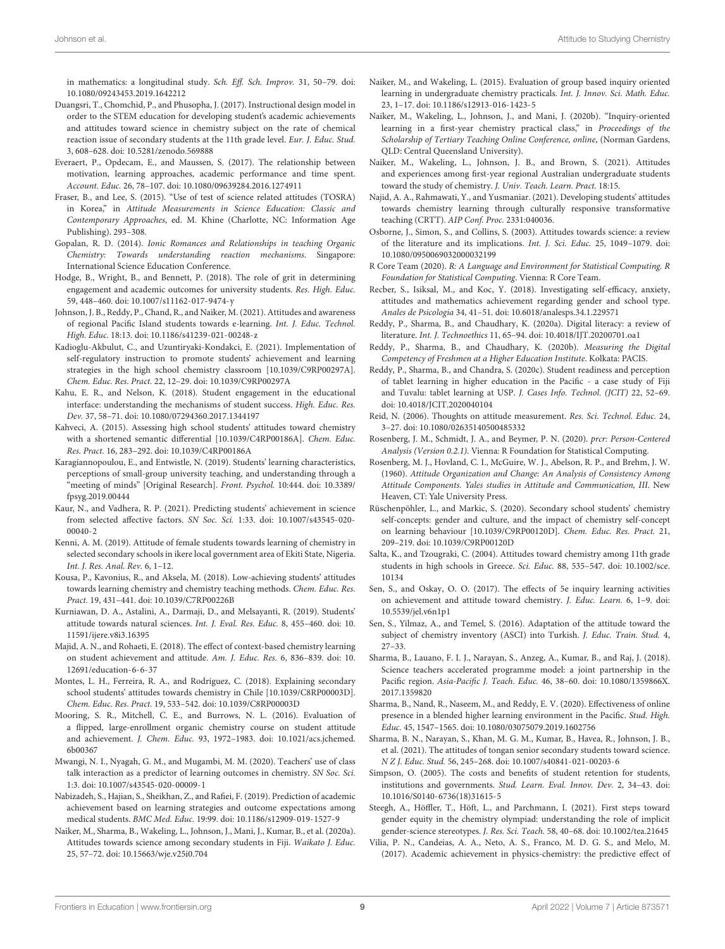in mathematics: a longitudinal study. Sch. Eff. Sch. Improv. 31, 50–79. [doi:](https://doi.org/10.1080/09243453.2019.1642212) [10.1080/09243453.2019.1642212](https://doi.org/10.1080/09243453.2019.1642212)

- <span id="page-8-20"></span>Duangsri, T., Chomchid, P., and Phusopha, J. (2017). Instructional design model in order to the STEM education for developing student's academic achievements and attitudes toward science in chemistry subject on the rate of chemical reaction issue of secondary students at the 11th grade level. Eur. J. Educ. Stud. 3, 608–628. [doi: 10.5281/zenodo.569888](https://doi.org/10.5281/zenodo.569888)
- <span id="page-8-34"></span>Everaert, P., Opdecam, E., and Maussen, S. (2017). The relationship between motivation, learning approaches, academic performance and time spent. Account. Educ. 26, 78–107. [doi: 10.1080/09639284.2016.1274911](https://doi.org/10.1080/09639284.2016.1274911)
- <span id="page-8-22"></span>Fraser, B., and Lee, S. (2015). "Use of test of science related attitudes (TOSRA) in Korea," in Attitude Measurements in Science Education: Classic and Contemporary Approaches, ed. M. Khine (Charlotte, NC: Information Age Publishing). 293–308.
- <span id="page-8-31"></span>Gopalan, R. D. (2014). Ionic Romances and Relationships in teaching Organic Chemistry: Towards understanding reaction mechanisms. Singapore: International Science Education Conference.
- <span id="page-8-1"></span>Hodge, B., Wright, B., and Bennett, P. (2018). The role of grit in determining engagement and academic outcomes for university students. Res. High. Educ. 59, 448–460. [doi: 10.1007/s11162-017-9474-y](https://doi.org/10.1007/s11162-017-9474-y)
- <span id="page-8-42"></span>Johnson, J. B., Reddy, P., Chand, R., and Naiker, M. (2021). Attitudes and awareness of regional Pacific Island students towards e-learning. Int. J. Educ. Technol. High. Educ. 18:13. [doi: 10.1186/s41239-021-00248-z](https://doi.org/10.1186/s41239-021-00248-z)
- <span id="page-8-25"></span>Kadioglu-Akbulut, C., and Uzuntiryaki-Kondakci, E. (2021). Implementation of self-regulatory instruction to promote students' achievement and learning strategies in the high school chemistry classroom [10.1039/C9RP00297A]. Chem. Educ. Res. Pract. 22, 12–29. [doi: 10.1039/C9RP00297A](https://doi.org/10.1039/C9RP00297A)
- <span id="page-8-12"></span>Kahu, E. R., and Nelson, K. (2018). Student engagement in the educational interface: understanding the mechanisms of student success. High. Educ. Res. Dev. 37, 58–71. [doi: 10.1080/07294360.2017.1344197](https://doi.org/10.1080/07294360.2017.1344197)
- <span id="page-8-27"></span>Kahveci, A. (2015). Assessing high school students' attitudes toward chemistry with a shortened semantic differential [10.1039/C4RP00186A]. Chem. Educ. Res. Pract. 16, 283–292. [doi: 10.1039/C4RP00186A](https://doi.org/10.1039/C4RP00186A)
- <span id="page-8-38"></span>Karagiannopoulou, E., and Entwistle, N. (2019). Students' learning characteristics, perceptions of small-group university teaching, and understanding through a "meeting of minds" [Original Research]. Front. Psychol. 10:444. [doi: 10.3389/](https://doi.org/10.3389/fpsyg.2019.00444) [fpsyg.2019.00444](https://doi.org/10.3389/fpsyg.2019.00444)
- <span id="page-8-18"></span>Kaur, N., and Vadhera, R. P. (2021). Predicting students' achievement in science from selected affective factors. SN Soc. Sci. 1:33. [doi: 10.1007/s43545-020-](https://doi.org/10.1007/s43545-020-00040-2) [00040-2](https://doi.org/10.1007/s43545-020-00040-2)
- <span id="page-8-21"></span>Kenni, A. M. (2019). Attitude of female students towards learning of chemistry in selected secondary schools in ikere local government area of Ekiti State, Nigeria. Int. J. Res. Anal. Rev. 6, 1–12.
- <span id="page-8-5"></span>Kousa, P., Kavonius, R., and Aksela, M. (2018). Low-achieving students' attitudes towards learning chemistry and chemistry teaching methods. Chem. Educ. Res. Pract. 19, 431–441. [doi: 10.1039/C7RP00226B](https://doi.org/10.1039/C7RP00226B)
- <span id="page-8-13"></span>Kurniawan, D. A., Astalini, A., Darmaji, D., and Melsayanti, R. (2019). Students' attitude towards natural sciences. Int. J. Eval. Res. Educ. 8, 455–460. [doi: 10.](https://doi.org/10.11591/ijere.v8i3.16395) [11591/ijere.v8i3.16395](https://doi.org/10.11591/ijere.v8i3.16395)
- <span id="page-8-4"></span>Majid, A. N., and Rohaeti, E. (2018). The effect of context-based chemistry learning on student achievement and attitude. Am. J. Educ. Res. 6, 836–839. [doi: 10.](https://doi.org/10.12691/education-6-6-37) [12691/education-6-6-37](https://doi.org/10.12691/education-6-6-37)
- <span id="page-8-15"></span>Montes, L. H., Ferreira, R. A., and Rodríguez, C. (2018). Explaining secondary school students' attitudes towards chemistry in Chile [10.1039/C8RP00003D]. Chem. Educ. Res. Pract. 19, 533–542. [doi: 10.1039/C8RP00003D](https://doi.org/10.1039/C8RP00003D)
- <span id="page-8-28"></span>Mooring, S. R., Mitchell, C. E., and Burrows, N. L. (2016). Evaluation of a flipped, large-enrollment organic chemistry course on student attitude and achievement. J. Chem. Educ. 93, 1972–1983. [doi: 10.1021/acs.jchemed.](https://doi.org/10.1021/acs.jchemed.6b00367) [6b00367](https://doi.org/10.1021/acs.jchemed.6b00367)
- <span id="page-8-24"></span>Mwangi, N. I., Nyagah, G. M., and Mugambi, M. M. (2020). Teachers' use of class talk interaction as a predictor of learning outcomes in chemistry. SN Soc. Sci. 1:3. [doi: 10.1007/s43545-020-00009-1](https://doi.org/10.1007/s43545-020-00009-1)
- <span id="page-8-35"></span>Nabizadeh, S., Hajian, S., Sheikhan, Z., and Rafiei, F. (2019). Prediction of academic achievement based on learning strategies and outcome expectations among medical students. BMC Med. Educ. 19:99. [doi: 10.1186/s12909-019-1527-9](https://doi.org/10.1186/s12909-019-1527-9)
- <span id="page-8-8"></span>Naiker, M., Sharma, B., Wakeling, L., Johnson, J., Mani, J., Kumar, B., et al. (2020a). Attitudes towards science among secondary students in Fiji. Waikato J. Educ. 25, 57–72. [doi: 10.15663/wje.v25i0.704](https://doi.org/10.15663/wje.v25i0.704)
- <span id="page-8-36"></span>Naiker, M., and Wakeling, L. (2015). Evaluation of group based inquiry oriented learning in undergraduate chemistry practicals. Int. J. Innov. Sci. Math. Educ. 23, 1–17. [doi: 10.1186/s12913-016-1423-5](https://doi.org/10.1186/s12913-016-1423-5)
- <span id="page-8-37"></span>Naiker, M., Wakeling, L., Johnson, J., and Mani, J. (2020b). "Inquiry-oriented learning in a first-year chemistry practical class," in Proceedings of the Scholarship of Tertiary Teaching Online Conference, online, (Norman Gardens, QLD: Central Queensland University).
- <span id="page-8-3"></span>Naiker, M., Wakeling, L., Johnson, J. B., and Brown, S. (2021). Attitudes and experiences among first-year regional Australian undergraduate students toward the study of chemistry. J. Univ. Teach. Learn. Pract. 18:15.
- <span id="page-8-19"></span>Najid, A. A., Rahmawati, Y., and Yusmaniar. (2021). Developing students' attitudes towards chemistry learning through culturally responsive transformative teaching (CRTT). AIP Conf. Proc. 2331:040036.
- <span id="page-8-2"></span>Osborne, J., Simon, S., and Collins, S. (2003). Attitudes towards science: a review of the literature and its implications. Int. J. Sci. Educ. 25, 1049–1079. [doi:](https://doi.org/10.1080/0950069032000032199) [10.1080/0950069032000032199](https://doi.org/10.1080/0950069032000032199)
- <span id="page-8-32"></span>R Core Team (2020). R: A Language and Environment for Statistical Computing. R Foundation for Statistical Computing. Vienna: R Core Team.
- <span id="page-8-14"></span>Recber, S., Isiksal, M., and Koc, Y. (2018). Investigating self-efficacy, anxiety, attitudes and mathematics achievement regarding gender and school type. Anales de Psicologia 34, 41–51. [doi: 10.6018/analesps.34.1.229571](https://doi.org/10.6018/analesps.34.1.229571)
- <span id="page-8-39"></span>Reddy, P., Sharma, B., and Chaudhary, K. (2020a). Digital literacy: a review of literature. Int. J. Technoethics 11, 65–94. [doi: 10.4018/IJT.20200701.oa1](https://doi.org/10.4018/IJT.20200701.oa1)
- <span id="page-8-40"></span>Reddy, P., Sharma, B., and Chaudhary, K. (2020b). Measuring the Digital Competency of Freshmen at a Higher Education Institute. Kolkata: PACIS.
- <span id="page-8-41"></span>Reddy, P., Sharma, B., and Chandra, S. (2020c). Student readiness and perception of tablet learning in higher education in the Pacific - a case study of Fiji and Tuvalu: tablet learning at USP. J. Cases Info. Technol. (JCIT) 22, 52–69. [doi: 10.4018/JCIT.2020040104](https://doi.org/10.4018/JCIT.2020040104)
- <span id="page-8-10"></span>Reid, N. (2006). Thoughts on attitude measurement. Res. Sci. Technol. Educ. 24, 3–27. [doi: 10.1080/02635140500485332](https://doi.org/10.1080/02635140500485332)
- <span id="page-8-33"></span>Rosenberg, J. M., Schmidt, J. A., and Beymer, P. N. (2020). prcr: Person-Centered Analysis (Version 0.2.1). Vienna: R Foundation for Statistical Computing.
- <span id="page-8-11"></span>Rosenberg, M. J., Hovland, C. I., McGuire, W. J., Abelson, R. P., and Brehm, J. W. (1960). Attitude Organization and Change: An Analysis of Consistency Among Attitude Components. Yales studies in Attitude and Communication, III. New Heaven, CT: Yale University Press.
- <span id="page-8-16"></span>Rüschenpöhler, L., and Markic, S. (2020). Secondary school students' chemistry self-concepts: gender and culture, and the impact of chemistry self-concept on learning behaviour [10.1039/C9RP00120D]. Chem. Educ. Res. Pract. 21, 209–219. [doi: 10.1039/C9RP00120D](https://doi.org/10.1039/C9RP00120D)
- <span id="page-8-26"></span>Salta, K., and Tzougraki, C. (2004). Attitudes toward chemistry among 11th grade students in high schools in Greece. Sci. Educ. 88, 535–547. [doi: 10.1002/sce.](https://doi.org/10.1002/sce.10134) [10134](https://doi.org/10.1002/sce.10134)
- <span id="page-8-30"></span>Sen, S., and Oskay, O. O. (2017). The effects of 5e inquiry learning activities on achievement and attitude toward chemistry. J. Educ. Learn. 6, 1–9. [doi:](https://doi.org/10.5539/jel.v6n1p1) [10.5539/jel.v6n1p1](https://doi.org/10.5539/jel.v6n1p1)
- <span id="page-8-29"></span>Sen, S., Yilmaz, A., and Temel, S. (2016). Adaptation of the attitude toward the subject of chemistry inventory (ASCI) into Turkish. J. Educ. Train. Stud. 4, 27–33.
- <span id="page-8-6"></span>Sharma, B., Lauano, F. I. J., Narayan, S., Anzeg, A., Kumar, B., and Raj, J. (2018). Science teachers accelerated programme model: a joint partnership in the Pacific region. Asia-Pacific J. Teach. Educ. 46, 38–60. [doi: 10.1080/1359866X.](https://doi.org/10.1080/1359866X.2017.1359820) [2017.1359820](https://doi.org/10.1080/1359866X.2017.1359820)
- <span id="page-8-7"></span>Sharma, B., Nand, R., Naseem, M., and Reddy, E. V. (2020). Effectiveness of online presence in a blended higher learning environment in the Pacific. Stud. High. Educ. 45, 1547–1565. [doi: 10.1080/03075079.2019.1602756](https://doi.org/10.1080/03075079.2019.1602756)
- <span id="page-8-9"></span>Sharma, B. N., Narayan, S., Khan, M. G. M., Kumar, B., Havea, R., Johnson, J. B., et al. (2021). The attitudes of tongan senior secondary students toward science. N Z J. Educ. Stud. 56, 245–268. [doi: 10.1007/s40841-021-00203-6](https://doi.org/10.1007/s40841-021-00203-6)
- <span id="page-8-0"></span>Simpson, O. (2005). The costs and benefits of student retention for students, institutions and governments. Stud. Learn. Eval. Innov. Dev. 2, 34–43. [doi:](https://doi.org/10.1016/S0140-6736(18)31615-5) [10.1016/S0140-6736\(18\)31615-5](https://doi.org/10.1016/S0140-6736(18)31615-5)
- <span id="page-8-23"></span>Steegh, A., Höffler, T., Höft, L., and Parchmann, I. (2021). First steps toward gender equity in the chemistry olympiad: understanding the role of implicit gender-science stereotypes. J. Res. Sci. Teach. 58, 40–68. [doi: 10.1002/tea.21645](https://doi.org/10.1002/tea.21645)
- <span id="page-8-17"></span>Vilia, P. N., Candeias, A. A., Neto, A. S., Franco, M. D. G. S., and Melo, M. (2017). Academic achievement in physics-chemistry: the predictive effect of